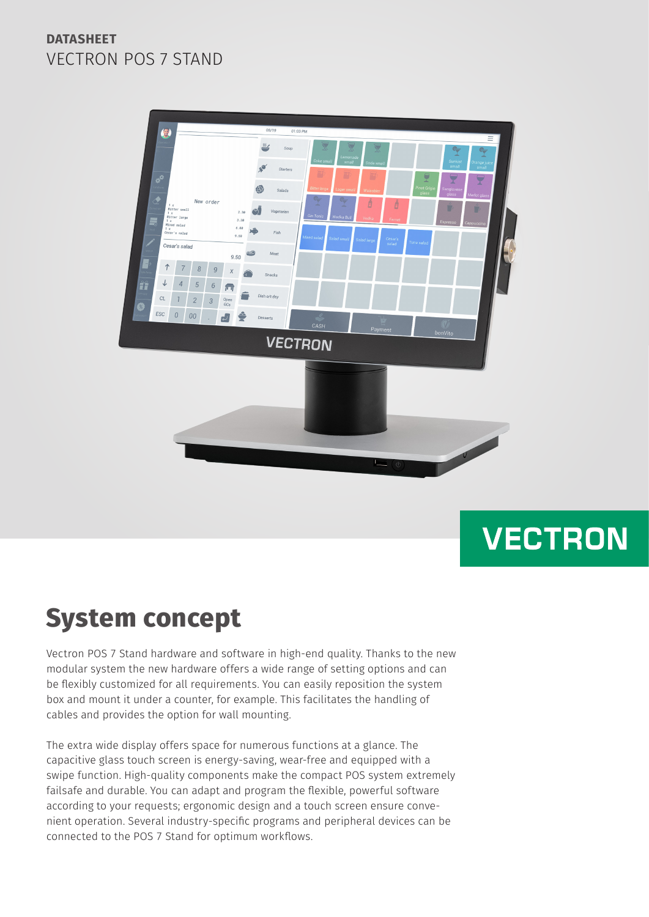

# **VECTRON**

## **System concept**

Vectron POS 7 Stand hardware and software in high-end quality. Thanks to the new modular system the new hardware offers a wide range of setting options and can be flexibly customized for all requirements. You can easily reposition the system box and mount it under a counter, for example. This facilitates the handling of cables and provides the option for wall mounting.

The extra wide display offers space for numerous functions at a glance. The capacitive glass touch screen is energy-saving, wear-free and equipped with a swipe function. High-quality components make the compact POS system extremely failsafe and durable. You can adapt and program the flexible, powerful software according to your requests; ergonomic design and a touch screen ensure convenient operation. Several industry-specific programs and peripheral devices can be connected to the POS 7 Stand for optimum workflows.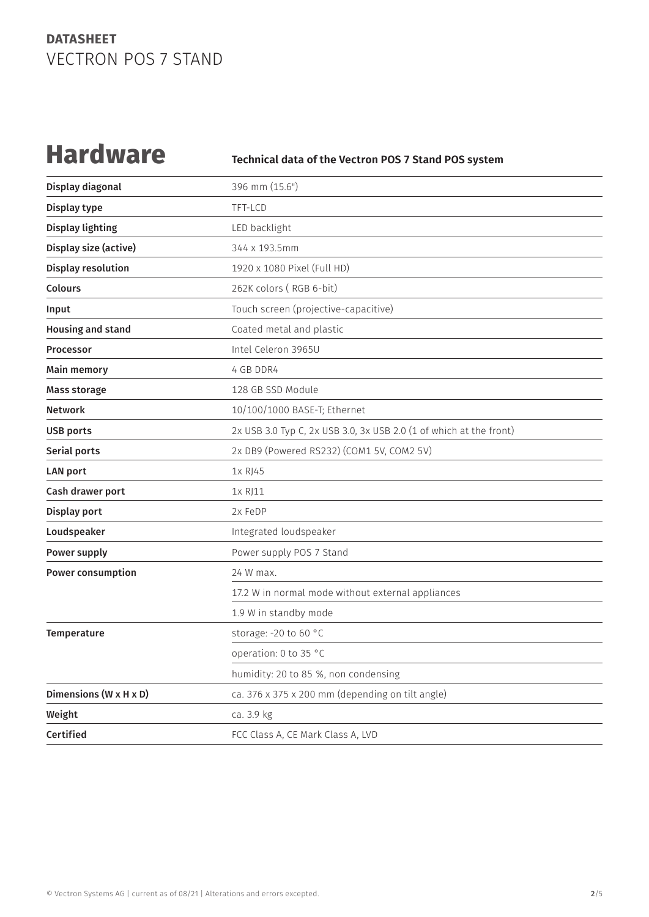**Hardware Technical data of the Vectron POS 7 Stand POS system**

| Display diagonal       | 396 mm (15.6")                                                     |
|------------------------|--------------------------------------------------------------------|
| Display type           | TFT-LCD                                                            |
| Display lighting       | LED backlight                                                      |
| Display size (active)  | 344 x 193.5mm                                                      |
| Display resolution     | 1920 x 1080 Pixel (Full HD)                                        |
| <b>Colours</b>         | 262K colors (RGB 6-bit)                                            |
| Input                  | Touch screen (projective-capacitive)                               |
| Housing and stand      | Coated metal and plastic                                           |
| <b>Processor</b>       | Intel Celeron 3965U                                                |
| <b>Main memory</b>     | 4 GB DDR4                                                          |
| <b>Mass storage</b>    | 128 GB SSD Module                                                  |
| <b>Network</b>         | 10/100/1000 BASE-T; Ethernet                                       |
| <b>USB ports</b>       | 2x USB 3.0 Typ C, 2x USB 3.0, 3x USB 2.0 (1 of which at the front) |
| Serial ports           | 2x DB9 (Powered RS232) (COM1 5V, COM2 5V)                          |
| <b>LAN port</b>        | 1x RJ45                                                            |
| Cash drawer port       | 1x RJ11                                                            |
| Display port           | 2x FeDP                                                            |
| Loudspeaker            | Integrated loudspeaker                                             |
| Power supply           | Power supply POS 7 Stand                                           |
| Power consumption      | 24 W max.                                                          |
|                        | 17.2 W in normal mode without external appliances                  |
|                        | 1.9 W in standby mode                                              |
| Temperature            | storage: -20 to 60 °C                                              |
|                        | operation: 0 to 35 °C                                              |
|                        | humidity: 20 to 85 %, non condensing                               |
| Dimensions (W x H x D) | ca. 376 x 375 x 200 mm (depending on tilt angle)                   |
| Weight                 | ca. 3.9 kg                                                         |
| Certified              | FCC Class A, CE Mark Class A, LVD                                  |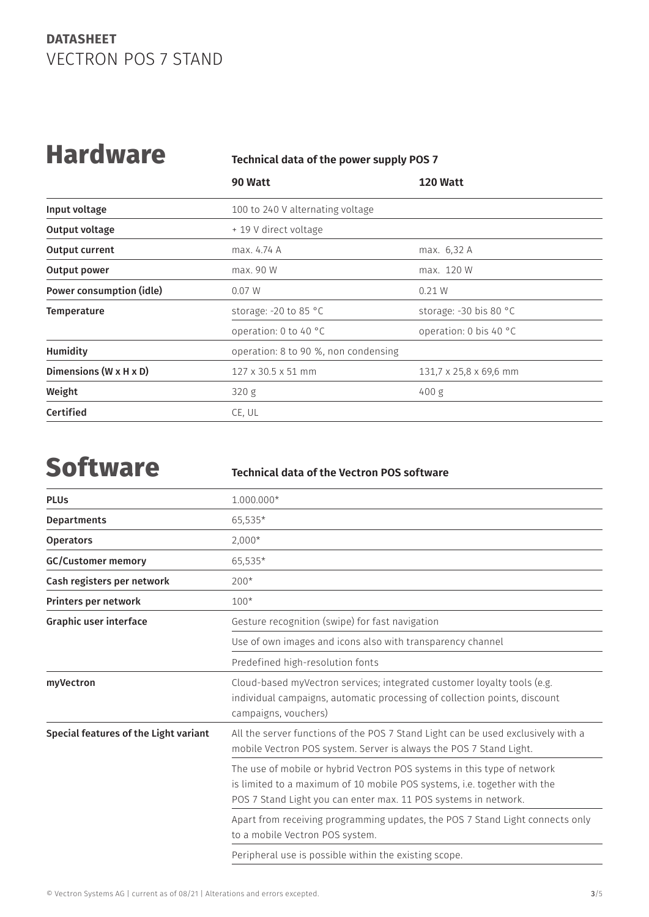## **Hardware Technical data of the power supply POS 7**

|                          | 90 Watt                              | <b>120 Watt</b>          |
|--------------------------|--------------------------------------|--------------------------|
| Input voltage            | 100 to 240 V alternating voltage     |                          |
| Output voltage           | + 19 V direct voltage                |                          |
| <b>Output current</b>    | max. 4.74 A                          | max. 6,32 A              |
| Output power             | max. 90 W                            | max. 120 W               |
| Power consumption (idle) | 0.07 W                               | 0.21 W                   |
| <b>Temperature</b>       | storage: -20 to 85 °C                | storage: $-30$ bis 80 °C |
|                          | operation: 0 to 40 °C                | operation: 0 bis 40 °C   |
| Humidity                 | operation: 8 to 90 %, non condensing |                          |
| Dimensions (W x H x D)   | $127 \times 30.5 \times 51$ mm       | 131,7 x 25,8 x 69,6 mm   |
| Weight                   | 320 g                                | 400 g                    |
| Certified                | CE, UL                               |                          |

## **Software Technical data of the Vectron POS software**

| <b>PLUs</b>                           | 1.000.000*                                                                                                                                                                                                             |
|---------------------------------------|------------------------------------------------------------------------------------------------------------------------------------------------------------------------------------------------------------------------|
| <b>Departments</b>                    | 65,535*                                                                                                                                                                                                                |
| <b>Operators</b>                      | $2,000*$                                                                                                                                                                                                               |
| <b>GC/Customer memory</b>             | 65,535*                                                                                                                                                                                                                |
| Cash registers per network            | $200*$                                                                                                                                                                                                                 |
| Printers per network                  | $100*$                                                                                                                                                                                                                 |
| Graphic user interface                | Gesture recognition (swipe) for fast navigation                                                                                                                                                                        |
|                                       | Use of own images and icons also with transparency channel                                                                                                                                                             |
|                                       | Predefined high-resolution fonts                                                                                                                                                                                       |
| myVectron                             | Cloud-based myVectron services; integrated customer loyalty tools (e.g.<br>individual campaigns, automatic processing of collection points, discount<br>campaigns, vouchers)                                           |
| Special features of the Light variant | All the server functions of the POS 7 Stand Light can be used exclusively with a<br>mobile Vectron POS system. Server is always the POS 7 Stand Light.                                                                 |
|                                       | The use of mobile or hybrid Vectron POS systems in this type of network<br>is limited to a maximum of 10 mobile POS systems, i.e. together with the<br>POS 7 Stand Light you can enter max. 11 POS systems in network. |
|                                       | Apart from receiving programming updates, the POS 7 Stand Light connects only<br>to a mobile Vectron POS system.                                                                                                       |
|                                       | Peripheral use is possible within the existing scope.                                                                                                                                                                  |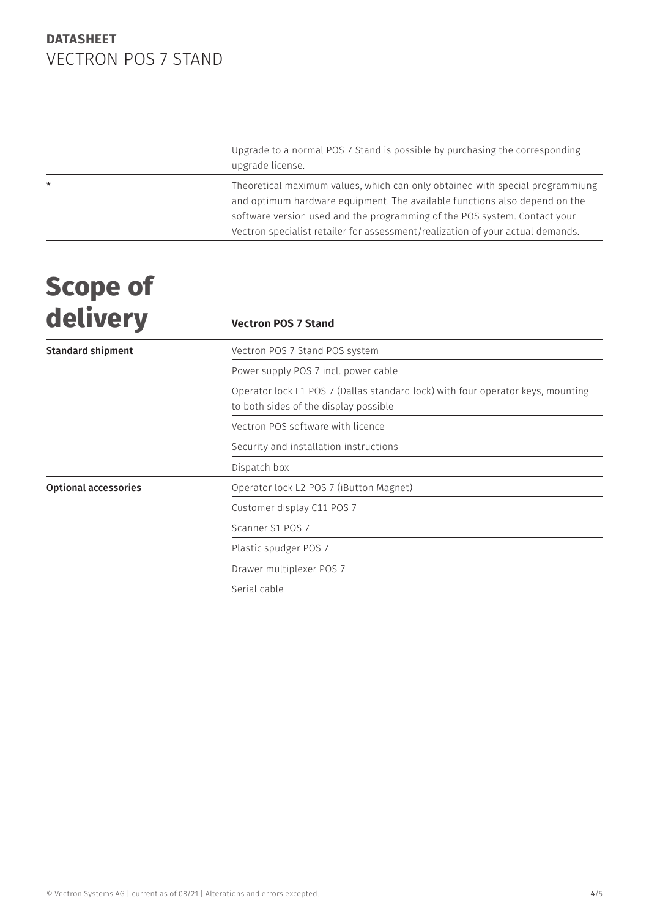Upgrade to a normal POS 7 Stand is possible by purchasing the corresponding upgrade license.

\* Theoretical maximum values, which can only obtained with special programmiung and optimum hardware equipment. The available functions also depend on the software version used and the programming of the POS system. Contact your Vectron specialist retailer for assessment/realization of your actual demands.

## **Scope of**  delivery

| <u>uetivel y</u>            | <b>Vectron POS 7 Stand</b>                                                                                               |
|-----------------------------|--------------------------------------------------------------------------------------------------------------------------|
| <b>Standard shipment</b>    | Vectron POS 7 Stand POS system                                                                                           |
|                             | Power supply POS 7 incl. power cable                                                                                     |
|                             | Operator lock L1 POS 7 (Dallas standard lock) with four operator keys, mounting<br>to both sides of the display possible |
|                             | Vectron POS software with licence                                                                                        |
|                             | Security and installation instructions                                                                                   |
|                             | Dispatch box                                                                                                             |
| <b>Optional accessories</b> | Operator lock L2 POS 7 (iButton Magnet)                                                                                  |
|                             | Customer display C11 POS 7                                                                                               |
|                             | Scanner S1 POS 7                                                                                                         |
|                             | Plastic spudger POS 7                                                                                                    |
|                             | Drawer multiplexer POS 7                                                                                                 |
|                             | Serial cable                                                                                                             |